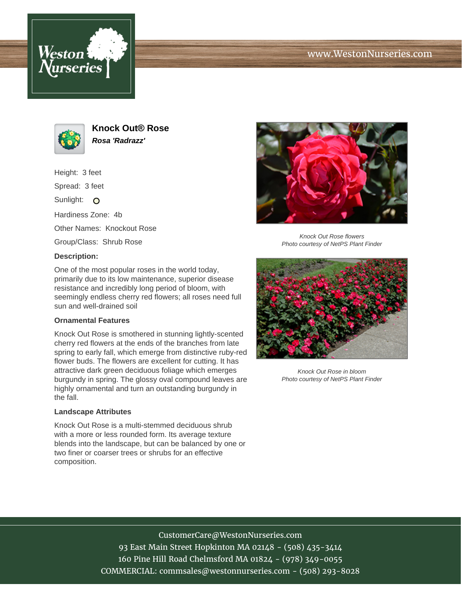



**Knock Out® Rose Rosa 'Radrazz'**

Height: 3 feet Spread: 3 feet Sunlight: O Hardiness Zone: 4b Other Names: Knockout Rose Group/Class: Shrub Rose **Description:**

## One of the most popular roses in the world today, primarily due to its low maintenance, superior disease resistance and incredibly long period of bloom, with

seemingly endless cherry red flowers; all roses need full sun and well-drained soil

## **Ornamental Features**

Knock Out Rose is smothered in stunning lightly-scented cherry red flowers at the ends of the branches from late spring to early fall, which emerge from distinctive ruby-red flower buds. The flowers are excellent for cutting. It has attractive dark green deciduous foliage which emerges burgundy in spring. The glossy oval compound leaves are highly ornamental and turn an outstanding burgundy in the fall.

## **Landscape Attributes**

Knock Out Rose is a multi-stemmed deciduous shrub with a more or less rounded form. Its average texture blends into the landscape, but can be balanced by one or two finer or coarser trees or shrubs for an effective composition.



Knock Out Rose flowers Photo courtesy of NetPS Plant Finder



Knock Out Rose in bloom Photo courtesy of NetPS Plant Finder

CustomerCare@WestonNurseries.com 93 East Main Street Hopkinton MA 02148 - (508) 435-3414 160 Pine Hill Road Chelmsford MA 01824 - (978) 349-0055 COMMERCIAL: commsales@westonnurseries.com - (508) 293-8028